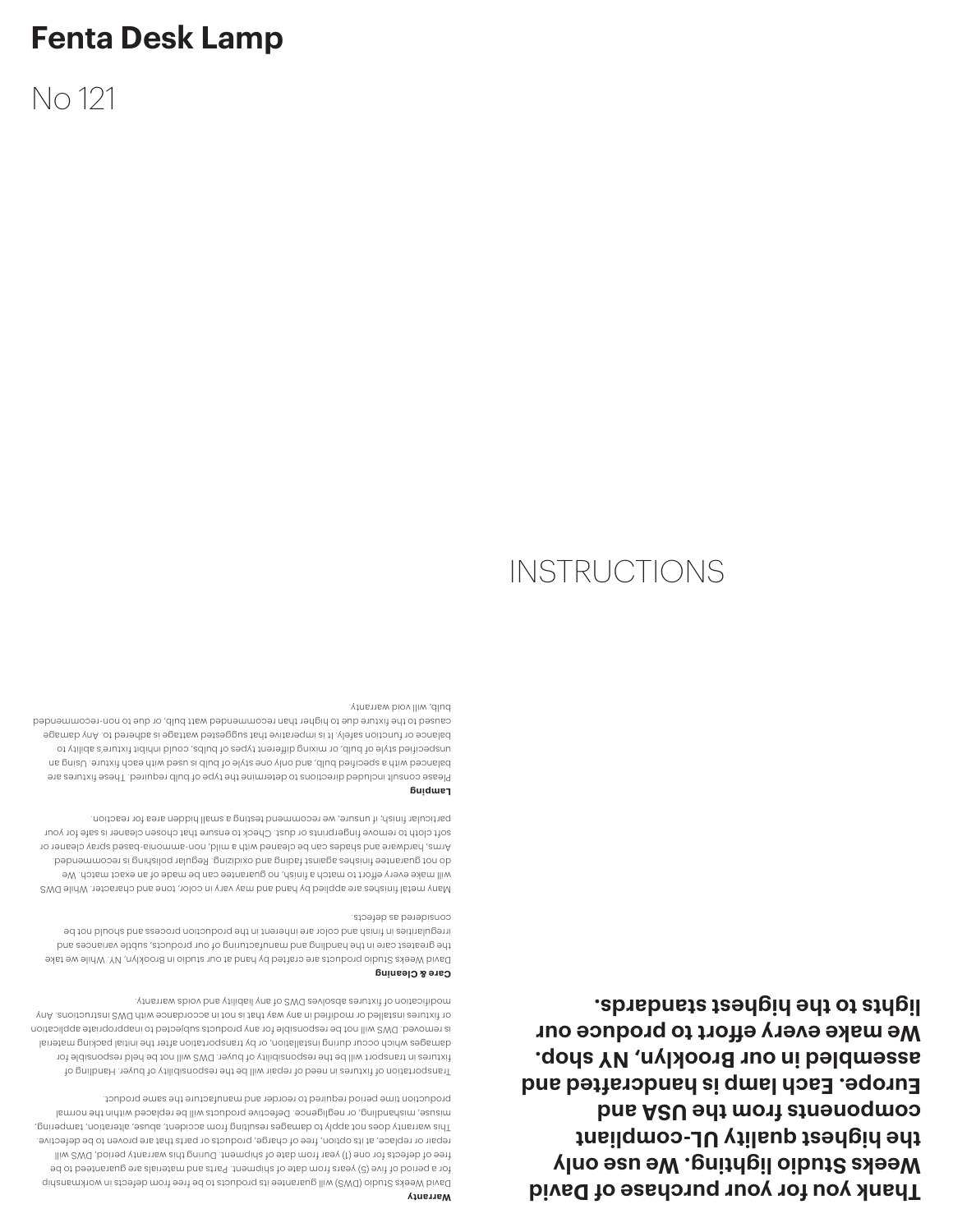**Thank you for your purchase of David Weeks Studio lighting. We use only the highest quality UL-compliant**  component *the USA* and *but and the ASU* and **Europe. Each lamp is handcrafted and assembled in our Brooklyn, NY shop. We make every effort to produce our lights to the highest standards.**

### free of defects for one (1) year from date of shipment. During this warranty period, DWS will repair or replace, at its option, free of charge, products or parts that are proven to be defective. This warranty does not apply to damages resulting from accident, abuse, alteration, tampering, misuse, mishandling, or negligence. Defective products will be replaced within the normal production time period required to reorder and manufacture the same product. Transportation of fixtures in need of repair will be the responsibility of buyer. Handling of

fixtures in transport will be the responsibility of buyer. DWS will not be held responsible for damages which occur during installation, or by transportation after the initial packing material is removed. DWS will not be responsible for any products subjected to inappropriate application or fixtures installed or modified in any way that is not in accordance with DWS instructions. Any modification of fixtures absolves DWS of any liability and voids warranty.

David Weeks Studio (DWS) will guarantee its products to be free from defects in workmanship for a period of five (5) years from date of shipment. Parts and materials are guaranteed to be

### **Care & Cleaning**

**Warranty**

David Weeks Studio products are crafted by hand at our studio in Brooklyn, NY. While we take the greatest care in the handling and manufacturing of our products, subtle variances and irregularities in finish and color are inherent in the production process and should not be considered as defects.

Many metal finishes are applied by hand and may vary in color, tone and character. While DWS will make every effort to match a finish, no guarantee can be made of an exact match. We do not guarantee finishes against fading and oxidizing. Regular polishing is recommended. Arms, hardware and shades can be cleaned with a mild, non-ammonia-based spray cleaner or soft cloth to remove fingerprints or dust. Check to ensure that chosen cleaner is safe for your particular finish; if unsure, we recommend testing a small hidden area for reaction.

#### **Lamping**

Please consult included directions to determine the type of bulb required. These fixtures are balanced with a specified bulb, and only one style of bulb is used with each fixture. Using an unspecified style of bulb, or mixing different types of bulbs, could inhibit fixture's ability to balance or function safely. It is imperative that suggested wattage is adhered to. Any damage caused to the fixture due to higher than recommended watt bulb, or due to non-recommended bulb, will void warranty.

# **INSTRUCTIONS**

No 121

# **Fenta Desk Lamp**